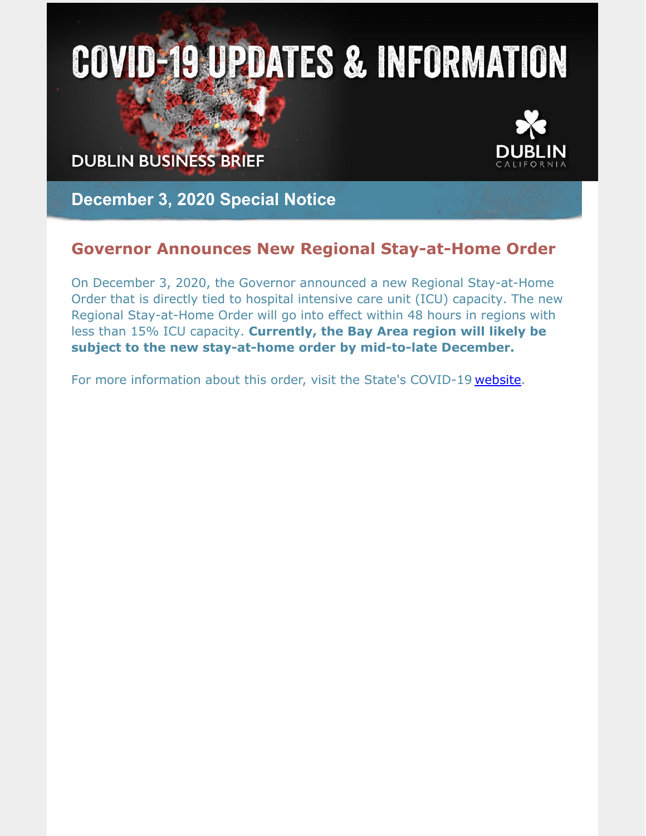# **COVID-19 UPDATES & INFORMATION**

**DUBLIN BUSINESS BRIEF** 



**December 3, 2020 Special Notice**

# **Governor Announces New Regional Stay-at-Home Order**

On December 3, 2020, the Governor announced a new Regional Stay-at-Home Order that is directly tied to hospital intensive care unit (ICU) capacity. The new Regional Stay-at-Home Order will go into effect within 48 hours in regions with less than 15% ICU capacity. **Currently, the Bay Area region will likely be subject to the new stay-at-home order by mid-to-late December.**

For more information about this order, visit the State's COVID-19 [website](https://covid19.ca.gov/stay-home-except-for-essential-needs/#regional).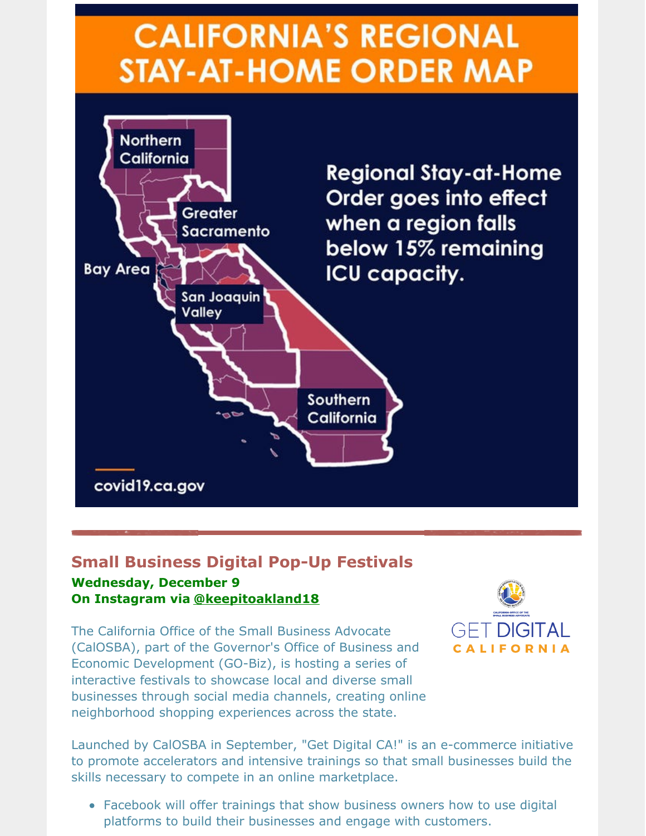# **CALIFORNIA'S REGIONAL STAY-AT-HOME ORDER MAP**



# **Small Business Digital Pop-Up Festivals**

#### **Wednesday, December 9 On Instagram via [@keepitoakland18](https://www.instagram.com/keepitoakland18/)**

The California Office of the Small Business Advocate (CalOSBA), part of the Governor's Office of Business and Economic Development (GO-Biz), is hosting a series of interactive festivals to showcase local and diverse small businesses through social media channels, creating online neighborhood shopping experiences across the state.



Launched by CalOSBA in September, "Get Digital CA!" is an e-commerce initiative to promote accelerators and intensive trainings so that small businesses build the skills necessary to compete in an online marketplace.

Facebook will offer trainings that show business owners how to use digital platforms to build their businesses and engage with customers.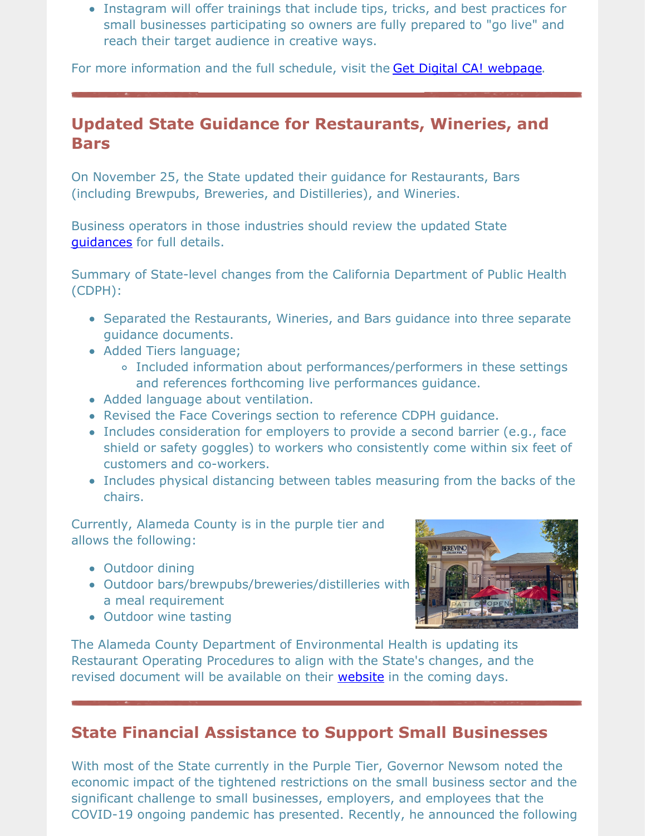Instagram will offer trainings that include tips, tricks, and best practices for small businesses participating so owners are fully prepared to "go live" and reach their target audience in creative ways.

For more information and the full schedule, visit the Get Digital CA! [webpage](https://business.ca.gov/advantages/small-business-innovation-and-entrepreneurship/get-digital-ca/).

# **Updated State Guidance for Restaurants, Wineries, and Bars**

On November 25, the State updated their guidance for Restaurants, Bars (including Brewpubs, Breweries, and Distilleries), and Wineries.

Business operators in those industries should review the updated State [guidances](https://covid19.ca.gov/industry-guidance/) for full details.

Summary of State-level changes from the California Department of Public Health (CDPH):

- Separated the Restaurants, Wineries, and Bars guidance into three separate guidance documents.
- Added Tiers language;
	- Included information about performances/performers in these settings and references forthcoming live performances guidance.
- Added language about ventilation.
- Revised the Face Coverings section to reference CDPH guidance.
- Includes consideration for employers to provide a second barrier (e.g., face shield or safety goggles) to workers who consistently come within six feet of customers and co-workers.
- Includes physical distancing between tables measuring from the backs of the chairs.

Currently, Alameda County is in the purple tier and allows the following:

- Outdoor dining
- Outdoor bars/brewpubs/breweries/distilleries with a meal requirement



• Outdoor wine tasting

The Alameda County Department of Environmental Health is updating its Restaurant Operating Procedures to align with the State's changes, and the revised document will be available on their [website](https://deh.acgov.org/covid-19.page) in the coming days.

# **State Financial Assistance to Support Small Businesses**

With most of the State currently in the Purple Tier, Governor Newsom noted the economic impact of the tightened restrictions on the small business sector and the significant challenge to small businesses, employers, and employees that the COVID-19 ongoing pandemic has presented. Recently, he announced the following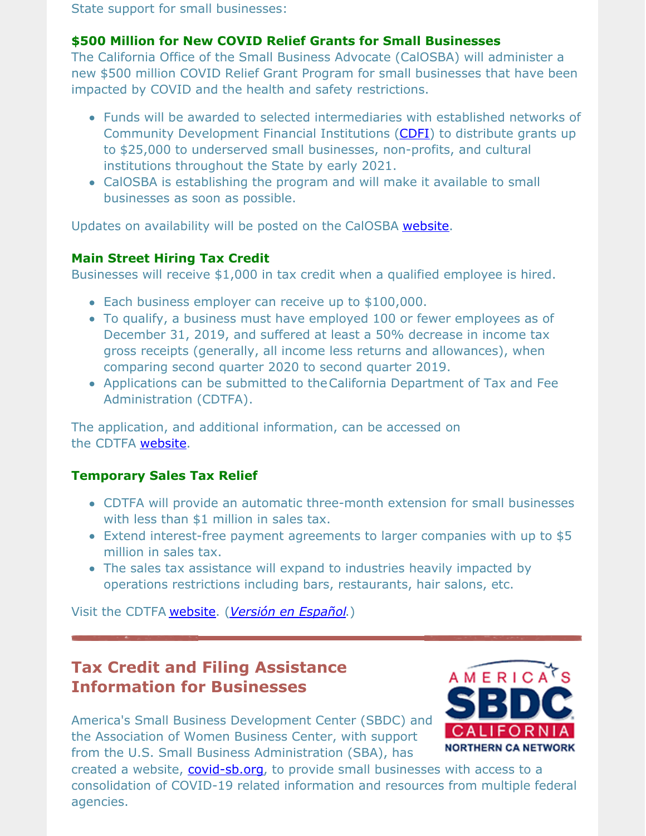State support for small businesses:

#### **\$500 Million for New COVID Relief Grants for Small Businesses**

The California Office of the Small Business Advocate (CalOSBA) will administer a new \$500 million COVID Relief Grant Program for small businesses that have been impacted by COVID and the health and safety restrictions.

- Funds will be awarded to selected intermediaries with established networks of Community Development Financial Institutions [\(CDFI](https://ofn.org/cdfi-locator)) to distribute grants up to \$25,000 to underserved small businesses, non-profits, and cultural institutions throughout the State by early 2021.
- CalOSBA is establishing the program and will make it available to small businesses as soon as possible.

Updates on availability will be posted on the CalOSBA [website](https://business.ca.gov/category/calosba/).

#### **Main Street Hiring Tax Credit**

Businesses will receive \$1,000 in tax credit when a qualified employee is hired.

- Each business employer can receive up to \$100,000.
- To qualify, a business must have employed 100 or fewer employees as of December 31, 2019, and suffered at least a 50% decrease in income tax gross receipts (generally, all income less returns and allowances), when comparing second quarter 2020 to second quarter 2019.
- Applications can be submitted to theCalifornia Department of Tax and Fee Administration (CDTFA).

The application, and additional information, can be accessed on the CDTFA [website](https://www.cdtfa.ca.gov/taxes-and-fees/SB1447-tax-credit.htm).

#### **Temporary Sales Tax Relief**

- CDTFA will provide an automatic three-month extension for small businesses with less than \$1 million in sales tax.
- Extend interest-free payment agreements to larger companies with up to \$5 million in sales tax.
- The sales tax assistance will expand to industries heavily impacted by operations restrictions including bars, restaurants, hair salons, etc.

Visit the CDTFA [website](https://www.cdtfa.ca.gov/services/covid19.htm). (*[Versión](https://www.cdtfa.ca.gov/services/covid19-es.htm) en Español*.)

# **Tax Credit and Filing Assistance Information for Businesses**

America's Small Business Development Center (SBDC) and the Association of Women Business Center, with support from the U.S. Small Business Administration (SBA), has



created a website, [covid-sb.org](https://covid-sb.org/), to provide small businesses with access to a consolidation of COVID-19 related information and resources from multiple federal agencies.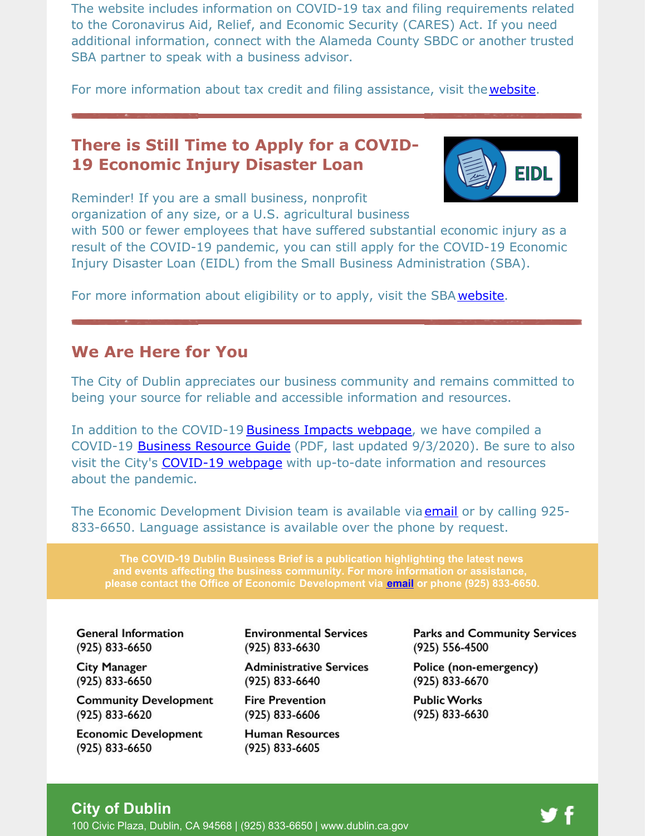The website includes information on COVID-19 tax and filing requirements related to the Coronavirus Aid, Relief, and Economic Security (CARES) Act. If you need additional information, connect with the Alameda County SBDC or another trusted SBA partner to speak with a business advisor.

For more information about tax credit and filing assistance, visit the [website](https://covid-sb.org/).

## **There is Still Time to Apply for a COVID-19 Economic Injury Disaster Loan**



Reminder! If you are a small business, nonprofit organization of any size, or a U.S. agricultural business

with 500 or fewer employees that have suffered substantial economic injury as a result of the COVID-19 pandemic, you can still apply for the COVID-19 Economic Injury Disaster Loan (EIDL) from the Small Business Administration (SBA).

For more information about eligibility or to apply, visit the SBA [website](https://www.sba.gov/page/coronavirus-covid-19-small-business-guidance-loan-resources#section-header-0).

### **We Are Here for You**

The City of Dublin appreciates our business community and remains committed to being your source for reliable and accessible information and resources.

In addition to the COVID-19 Business Impacts [webpage](https://www.dublin.ca.gov/2177/COVID-19-Business-Impacts), we have compiled a COVID-19 **Business [Resource](https://www.dublin.ca.gov/DocumentCenter/View/22168) Guide** (PDF, last updated 9/3/2020). Be sure to also visit the City's **[COVID-19](https://www.dublin.ca.gov/coronavirus) webpage** with up-to-date information and resources about the pandemic.

The Economic Development Division team is available via [email](mailto:economic.development@dublin.ca.gov) or by calling 925-833-6650. Language assistance is available over the phone by request.

**The COVID-19 Dublin Business Brief is a publication highlighting the latest news and events affecting the business community. For more information or assistance, please contact the Office of Economic Development via [email](mailto:economic.development@dublin.ca.gov) or phone (925) 833-6650.**

**General Information** (925) 833-6650

**City Manager** (925) 833-6650

**Community Development** (925) 833-6620

**Economic Development** (925) 833-6650

**Environmental Services** (925) 833-6630

**Administrative Services** (925) 833-6640

**Fire Prevention** (925) 833-6606

**Human Resources** (925) 833-6605

**Parks and Community Services** (925) 556-4500

Police (non-emergency) (925) 833-6670

Public Works (925) 833-6630

#### **City of Dublin**

100 Civic Plaza, Dublin, CA 94568 | (925) 833-6650 | [www.dublin.ca.gov](http://www.dublin.ca.gov)